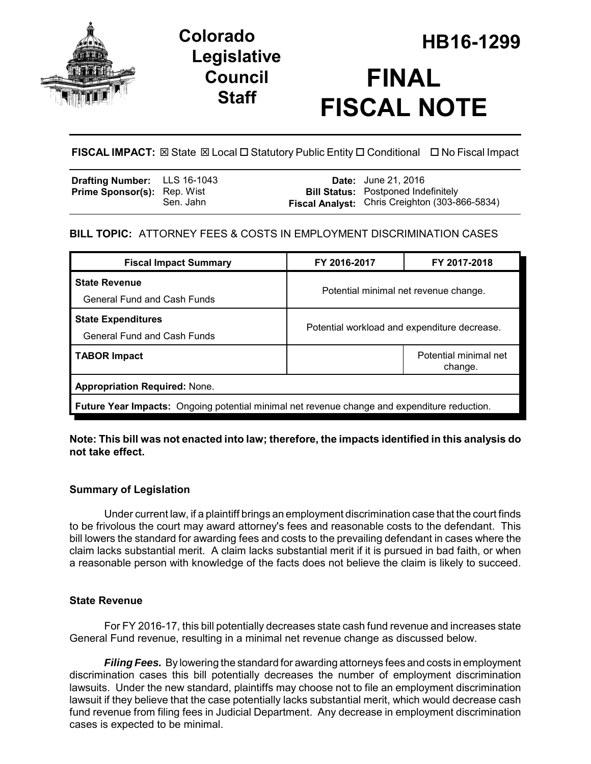

# **Legislative Council Staff**



**FISCAL IMPACT:**  $\boxtimes$  State  $\boxtimes$  Local  $\Box$  Statutory Public Entity  $\Box$  Conditional  $\Box$  No Fiscal Impact

| Drafting Number: LLS 16-1043       |           | <b>Date:</b> June 21, 2016                                                                   |
|------------------------------------|-----------|----------------------------------------------------------------------------------------------|
| <b>Prime Sponsor(s): Rep. Wist</b> | Sen. Jahn | <b>Bill Status:</b> Postponed Indefinitely<br>Fiscal Analyst: Chris Creighton (303-866-5834) |
|                                    |           |                                                                                              |

# **BILL TOPIC:** ATTORNEY FEES & COSTS IN EMPLOYMENT DISCRIMINATION CASES

| <b>Fiscal Impact Summary</b>                                                                        | FY 2016-2017                                 | FY 2017-2018                     |  |  |  |
|-----------------------------------------------------------------------------------------------------|----------------------------------------------|----------------------------------|--|--|--|
| <b>State Revenue</b><br><b>General Fund and Cash Funds</b>                                          | Potential minimal net revenue change.        |                                  |  |  |  |
| <b>State Expenditures</b><br><b>General Fund and Cash Funds</b>                                     | Potential workload and expenditure decrease. |                                  |  |  |  |
| <b>TABOR Impact</b>                                                                                 |                                              | Potential minimal net<br>change. |  |  |  |
| <b>Appropriation Required: None.</b>                                                                |                                              |                                  |  |  |  |
| <b>Future Year Impacts:</b> Ongoing potential minimal net revenue change and expenditure reduction. |                                              |                                  |  |  |  |

**Note: This bill was not enacted into law; therefore, the impacts identified in this analysis do not take effect.** 

# **Summary of Legislation**

Under current law, if a plaintiff brings an employment discrimination case that the court finds to be frivolous the court may award attorney's fees and reasonable costs to the defendant. This bill lowers the standard for awarding fees and costs to the prevailing defendant in cases where the claim lacks substantial merit. A claim lacks substantial merit if it is pursued in bad faith, or when a reasonable person with knowledge of the facts does not believe the claim is likely to succeed.

# **State Revenue**

For FY 2016-17, this bill potentially decreases state cash fund revenue and increases state General Fund revenue, resulting in a minimal net revenue change as discussed below.

*Filing Fees.* By lowering the standard for awarding attorneys fees and costs in employment discrimination cases this bill potentially decreases the number of employment discrimination lawsuits. Under the new standard, plaintiffs may choose not to file an employment discrimination lawsuit if they believe that the case potentially lacks substantial merit, which would decrease cash fund revenue from filing fees in Judicial Department. Any decrease in employment discrimination cases is expected to be minimal.